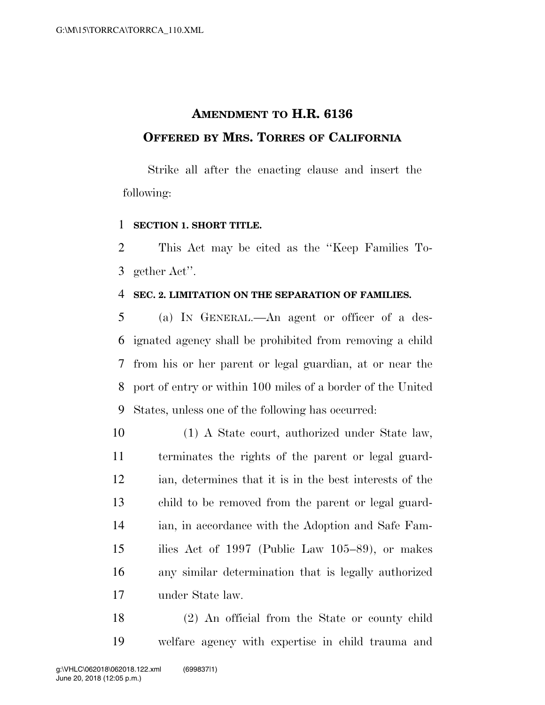# **AMENDMENT TO H.R. 6136 OFFERED BY MRS. TORRES OF CALIFORNIA**

Strike all after the enacting clause and insert the following:

#### **SECTION 1. SHORT TITLE.**

 This Act may be cited as the ''Keep Families To-gether Act''.

#### **SEC. 2. LIMITATION ON THE SEPARATION OF FAMILIES.**

 (a) IN GENERAL.—An agent or officer of a des- ignated agency shall be prohibited from removing a child from his or her parent or legal guardian, at or near the port of entry or within 100 miles of a border of the United States, unless one of the following has occurred:

 (1) A State court, authorized under State law, terminates the rights of the parent or legal guard- ian, determines that it is in the best interests of the child to be removed from the parent or legal guard- ian, in accordance with the Adoption and Safe Fam- ilies Act of 1997 (Public Law 105–89), or makes any similar determination that is legally authorized under State law.

 (2) An official from the State or county child welfare agency with expertise in child trauma and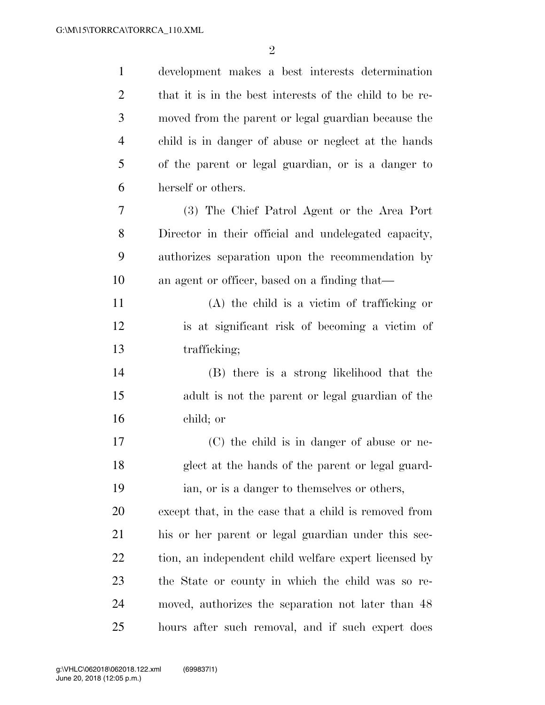| $\mathbf{1}$   | development makes a best interests determination        |
|----------------|---------------------------------------------------------|
| $\overline{2}$ | that it is in the best interests of the child to be re- |
| 3              | moved from the parent or legal guardian because the     |
| $\overline{4}$ | child is in danger of abuse or neglect at the hands     |
| 5              | of the parent or legal guardian, or is a danger to      |
| 6              | herself or others.                                      |
| 7              | (3) The Chief Patrol Agent or the Area Port             |
| 8              | Director in their official and undelegated capacity,    |
| 9              | authorizes separation upon the recommendation by        |
| 10             | an agent or officer, based on a finding that—           |
| 11             | $(A)$ the child is a victim of trafficking or           |
| 12             | is at significant risk of becoming a victim of          |
| 13             | trafficking;                                            |
| 14             | (B) there is a strong likelihood that the               |
| 15             | adult is not the parent or legal guardian of the        |
| 16             | child; or                                               |
| 17             | (C) the child is in danger of abuse or ne-              |
| 18             | glect at the hands of the parent or legal guard-        |
| 19             | ian, or is a danger to themselves or others,            |
| 20             | except that, in the case that a child is removed from   |
| 21             | his or her parent or legal guardian under this sec-     |
| <u>22</u>      | tion, an independent child welfare expert licensed by   |
| 23             | the State or county in which the child was so re-       |
| 24             | moved, authorizes the separation not later than 48      |
| 25             | hours after such removal, and if such expert does       |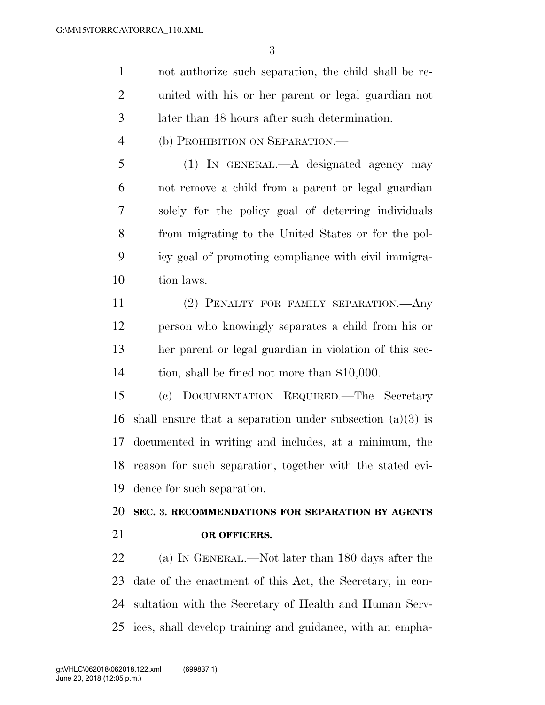not authorize such separation, the child shall be re- united with his or her parent or legal guardian not later than 48 hours after such determination.

(b) PROHIBITION ON SEPARATION.—

 (1) IN GENERAL.—A designated agency may not remove a child from a parent or legal guardian solely for the policy goal of deterring individuals from migrating to the United States or for the pol- icy goal of promoting compliance with civil immigra-tion laws.

 (2) PENALTY FOR FAMILY SEPARATION.—Any person who knowingly separates a child from his or her parent or legal guardian in violation of this sec-tion, shall be fined not more than \$10,000.

 (c) DOCUMENTATION REQUIRED.—The Secretary shall ensure that a separation under subsection (a)(3) is documented in writing and includes, at a minimum, the reason for such separation, together with the stated evi-dence for such separation.

## **SEC. 3. RECOMMENDATIONS FOR SEPARATION BY AGENTS OR OFFICERS.**

 (a) IN GENERAL.—Not later than 180 days after the date of the enactment of this Act, the Secretary, in con- sultation with the Secretary of Health and Human Serv-ices, shall develop training and guidance, with an empha-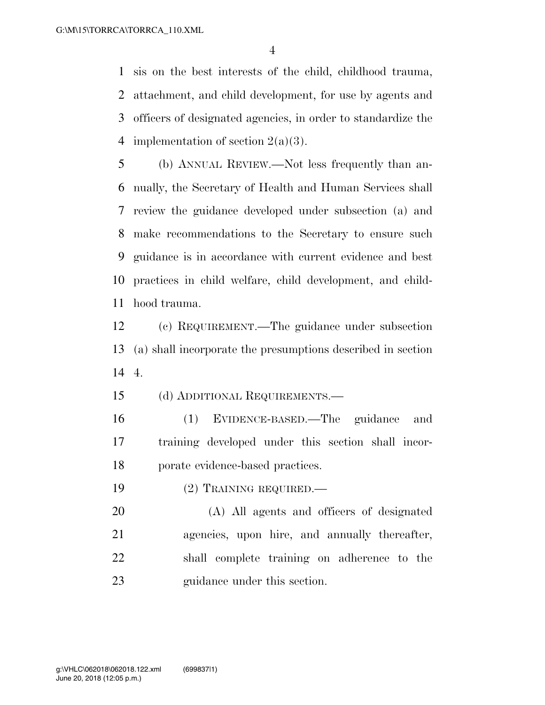sis on the best interests of the child, childhood trauma, attachment, and child development, for use by agents and officers of designated agencies, in order to standardize the 4 implementation of section  $2(a)(3)$ .

 (b) ANNUAL REVIEW.—Not less frequently than an- nually, the Secretary of Health and Human Services shall review the guidance developed under subsection (a) and make recommendations to the Secretary to ensure such guidance is in accordance with current evidence and best practices in child welfare, child development, and child-hood trauma.

 (c) REQUIREMENT.—The guidance under subsection (a) shall incorporate the presumptions described in section 4.

(d) ADDITIONAL REQUIREMENTS.—

 (1) EVIDENCE-BASED.—The guidance and training developed under this section shall incor-porate evidence-based practices.

(2) TRAINING REQUIRED.—

 (A) All agents and officers of designated agencies, upon hire, and annually thereafter, shall complete training on adherence to the guidance under this section.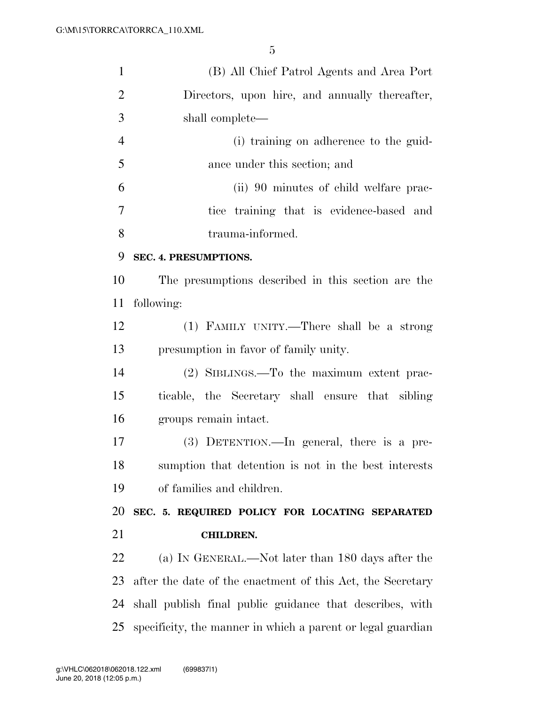| $\mathbf{1}$   | (B) All Chief Patrol Agents and Area Port                   |
|----------------|-------------------------------------------------------------|
| $\overline{2}$ | Directors, upon hire, and annually thereafter,              |
| 3              | shall complete—                                             |
| $\overline{4}$ | (i) training on adherence to the guid-                      |
| 5              | ance under this section; and                                |
| 6              | (ii) 90 minutes of child welfare prac-                      |
| 7              | tice training that is evidence-based and                    |
| 8              | trauma-informed.                                            |
| 9              | SEC. 4. PRESUMPTIONS.                                       |
| 10             | The presumptions described in this section are the          |
| 11             | following:                                                  |
| 12             | (1) FAMILY UNITY.—There shall be a strong                   |
| 13             | presumption in favor of family unity.                       |
| 14             | (2) SIBLINGS.—To the maximum extent prac-                   |
| 15             | ticable, the Secretary shall ensure that sibling            |
| 16             | groups remain intact.                                       |
| 17             | (3) DETENTION.—In general, there is a pre-                  |
| 18             | sumption that detention is not in the best interests        |
| 19             | of families and children.                                   |
| 20             | SEC. 5. REQUIRED POLICY FOR LOCATING SEPARATED              |
| 21             | <b>CHILDREN.</b>                                            |
| 22             | (a) IN GENERAL.—Not later than 180 days after the           |
| 23             | after the date of the enactment of this Act, the Secretary  |
| 24             | shall publish final public guidance that describes, with    |
| 25             | specificity, the manner in which a parent or legal guardian |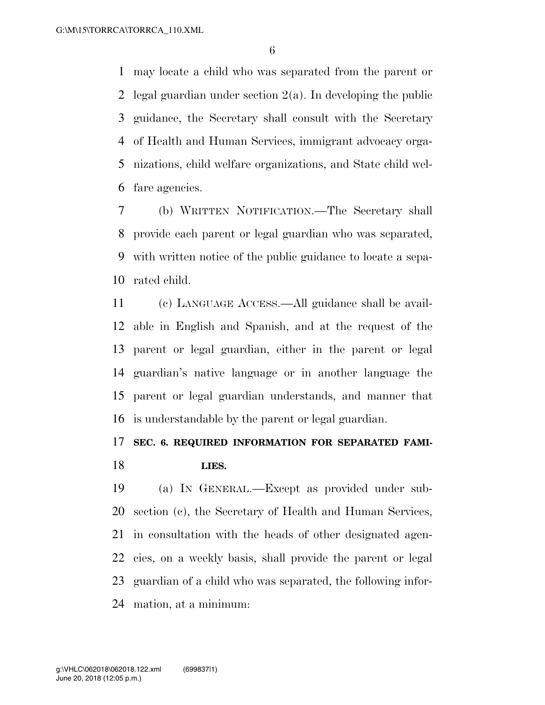may locate a child who was separated from the parent or legal guardian under section 2(a). In developing the public guidance, the Secretary shall consult with the Secretary of Health and Human Services, immigrant advocacy orga- nizations, child welfare organizations, and State child wel-fare agencies.

 (b) WRITTEN NOTIFICATION.—The Secretary shall provide each parent or legal guardian who was separated, with written notice of the public guidance to locate a sepa-rated child.

 (c) LANGUAGE ACCESS.—All guidance shall be avail- able in English and Spanish, and at the request of the parent or legal guardian, either in the parent or legal guardian's native language or in another language the parent or legal guardian understands, and manner that is understandable by the parent or legal guardian.

### **SEC. 6. REQUIRED INFORMATION FOR SEPARATED FAMI-LIES.**

 (a) IN GENERAL.—Except as provided under sub- section (c), the Secretary of Health and Human Services, in consultation with the heads of other designated agen- cies, on a weekly basis, shall provide the parent or legal guardian of a child who was separated, the following infor-mation, at a minimum: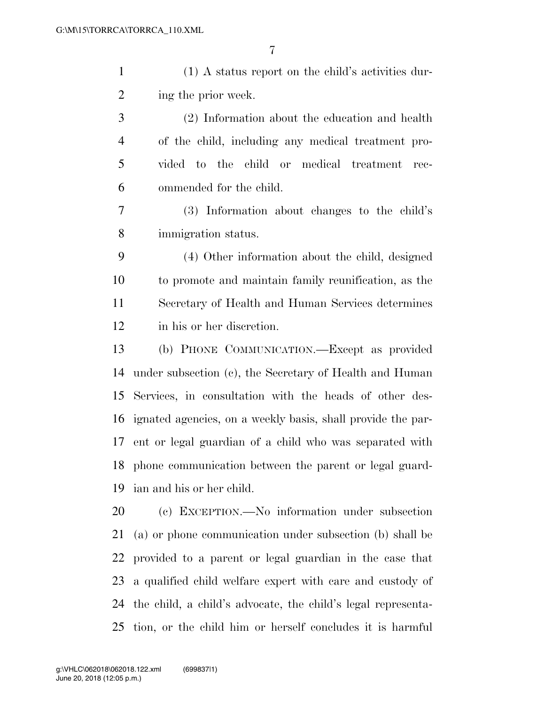(1) A status report on the child's activities dur-ing the prior week.

 (2) Information about the education and health of the child, including any medical treatment pro- vided to the child or medical treatment rec-ommended for the child.

 (3) Information about changes to the child's immigration status.

 (4) Other information about the child, designed to promote and maintain family reunification, as the Secretary of Health and Human Services determines in his or her discretion.

 (b) PHONE COMMUNICATION.—Except as provided under subsection (c), the Secretary of Health and Human Services, in consultation with the heads of other des- ignated agencies, on a weekly basis, shall provide the par- ent or legal guardian of a child who was separated with phone communication between the parent or legal guard-ian and his or her child.

 (c) EXCEPTION.—No information under subsection (a) or phone communication under subsection (b) shall be provided to a parent or legal guardian in the case that a qualified child welfare expert with care and custody of the child, a child's advocate, the child's legal representa-tion, or the child him or herself concludes it is harmful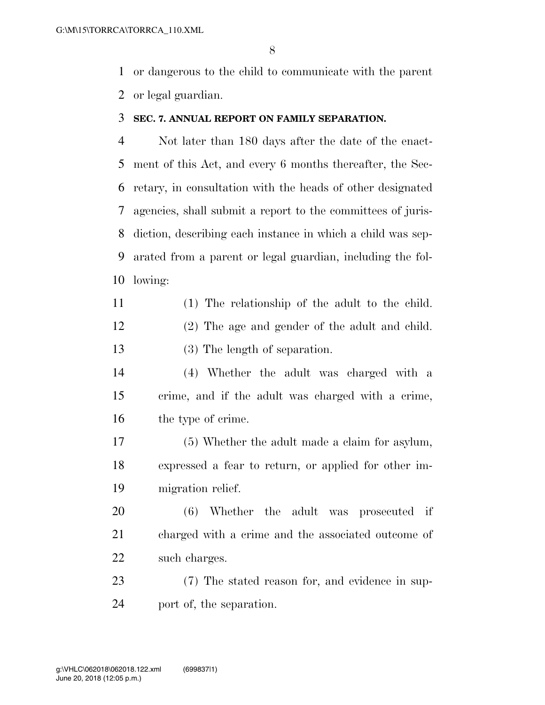or dangerous to the child to communicate with the parent or legal guardian.

#### **SEC. 7. ANNUAL REPORT ON FAMILY SEPARATION.**

 Not later than 180 days after the date of the enact- ment of this Act, and every 6 months thereafter, the Sec- retary, in consultation with the heads of other designated agencies, shall submit a report to the committees of juris- diction, describing each instance in which a child was sep- arated from a parent or legal guardian, including the fol-lowing:

- (1) The relationship of the adult to the child. (2) The age and gender of the adult and child. (3) The length of separation.
- (4) Whether the adult was charged with a crime, and if the adult was charged with a crime, 16 the type of crime.

 (5) Whether the adult made a claim for asylum, expressed a fear to return, or applied for other im-migration relief.

 (6) Whether the adult was prosecuted if charged with a crime and the associated outcome of such charges.

 (7) The stated reason for, and evidence in sup-port of, the separation.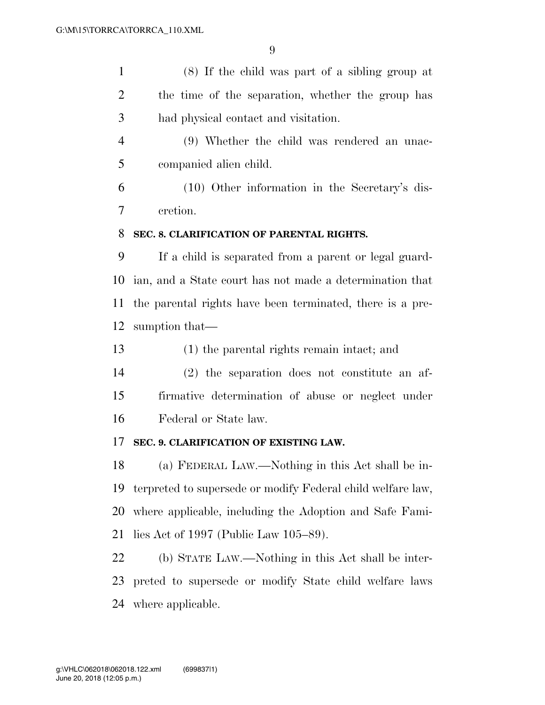(8) If the child was part of a sibling group at the time of the separation, whether the group has had physical contact and visitation.

 (9) Whether the child was rendered an unac-companied alien child.

 (10) Other information in the Secretary's dis-cretion.

#### **SEC. 8. CLARIFICATION OF PARENTAL RIGHTS.**

 If a child is separated from a parent or legal guard- ian, and a State court has not made a determination that the parental rights have been terminated, there is a pre-sumption that—

(1) the parental rights remain intact; and

 (2) the separation does not constitute an af- firmative determination of abuse or neglect under Federal or State law.

#### **SEC. 9. CLARIFICATION OF EXISTING LAW.**

 (a) FEDERAL LAW.—Nothing in this Act shall be in- terpreted to supersede or modify Federal child welfare law, where applicable, including the Adoption and Safe Fami-lies Act of 1997 (Public Law 105–89).

 (b) STATE LAW.—Nothing in this Act shall be inter- preted to supersede or modify State child welfare laws where applicable.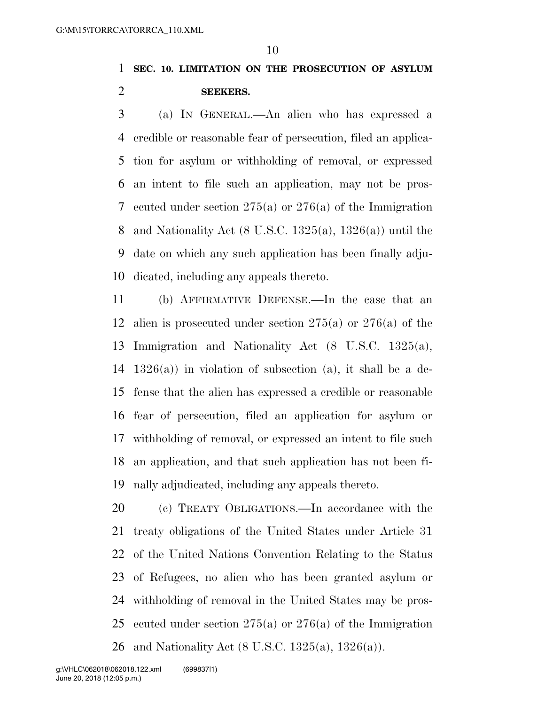**SEC. 10. LIMITATION ON THE PROSECUTION OF ASYLUM SEEKERS.** 

 (a) IN GENERAL.—An alien who has expressed a credible or reasonable fear of persecution, filed an applica- tion for asylum or withholding of removal, or expressed an intent to file such an application, may not be pros- ecuted under section 275(a) or 276(a) of the Immigration 8 and Nationality Act  $(8 \text{ U.S.C. } 1325(a), 1326(a))$  until the date on which any such application has been finally adju-dicated, including any appeals thereto.

 (b) AFFIRMATIVE DEFENSE.—In the case that an alien is prosecuted under section 275(a) or 276(a) of the Immigration and Nationality Act (8 U.S.C. 1325(a), 14 1326(a)) in violation of subsection (a), it shall be a de- fense that the alien has expressed a credible or reasonable fear of persecution, filed an application for asylum or withholding of removal, or expressed an intent to file such an application, and that such application has not been fi-nally adjudicated, including any appeals thereto.

 (c) TREATY OBLIGATIONS.—In accordance with the treaty obligations of the United States under Article 31 of the United Nations Convention Relating to the Status of Refugees, no alien who has been granted asylum or withholding of removal in the United States may be pros- ecuted under section 275(a) or 276(a) of the Immigration 26 and Nationality Act  $(8 \text{ U.S.C. } 1325(a), 1326(a))$ .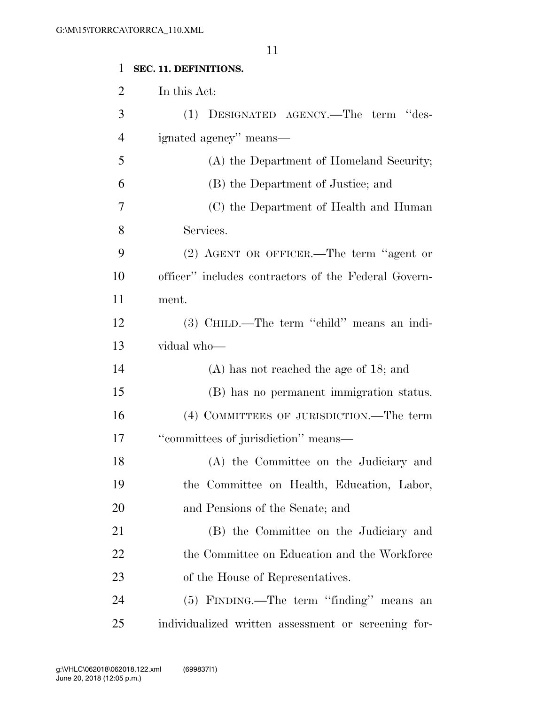### **SEC. 11. DEFINITIONS.**

| $\overline{2}$ | In this Act:                                         |
|----------------|------------------------------------------------------|
| 3              | DESIGNATED AGENCY.—The term "des-<br>(1)             |
| $\overline{4}$ | ignated agency" means—                               |
| 5              | (A) the Department of Homeland Security;             |
| 6              | (B) the Department of Justice; and                   |
| 7              | (C) the Department of Health and Human               |
| 8              | Services.                                            |
| 9              | (2) AGENT OR OFFICER.—The term "agent or             |
| 10             | officer" includes contractors of the Federal Govern- |
| 11             | ment.                                                |
| 12             | (3) CHILD.—The term "child" means an indi-           |
| 13             | vidual who-                                          |
| 14             | $(A)$ has not reached the age of 18; and             |
| 15             | (B) has no permanent immigration status.             |
| 16             | (4) COMMITTEES OF JURISDICTION.—The term             |
| 17             | "committees of jurisdiction" means-                  |
| 18             | (A) the Committee on the Judiciary and               |
| 19             | the Committee on Health, Education, Labor,           |
| 20             | and Pensions of the Senate; and                      |
| 21             | (B) the Committee on the Judiciary and               |
| 22             | the Committee on Education and the Workforce         |
| 23             | of the House of Representatives.                     |
| 24             | (5) FINDING.—The term "finding" means an             |
| 25             | individualized written assessment or screening for-  |